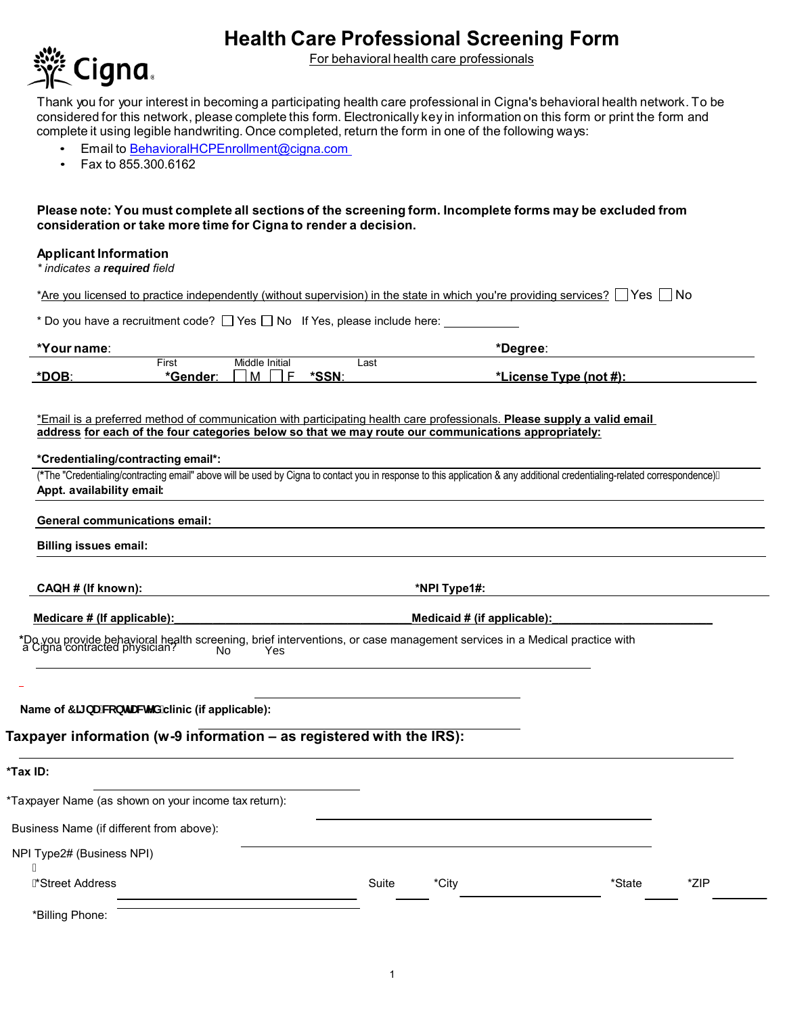

# **Health Care Professional Screening Form**

For behavioral health care professionals

Thank you for your interest in becoming a participating health care professional in Cigna's behavioral health network. To be considered for this network, please complete this form. Electronically key in information on this form or print the form and complete it using legible handwriting. Once completed, return the form in one of the following ways:

- Email to **BehavioralHCPEnrollment@cigna.com**<br>• Fax to 855 300 6162
- Fax to 855.300.6162

**Please note: You must complete all sections of the screening form. Incomplete forms may be excluded from consideration or take more time for Cigna to render a decision.**

# **Applicant Information**

| * indicates a <b>required</b> field |  |  |  |
|-------------------------------------|--|--|--|
|-------------------------------------|--|--|--|

\*Billing Phone:

|                                                                                                                                                                                                                                 |                             | *Are you licensed to practice independently (without supervision) in the state in which you're providing services? Yes No |  |
|---------------------------------------------------------------------------------------------------------------------------------------------------------------------------------------------------------------------------------|-----------------------------|---------------------------------------------------------------------------------------------------------------------------|--|
| * Do you have a recruitment code? $\Box$ Yes $\Box$ No If Yes, please include here: $\_\_$                                                                                                                                      |                             |                                                                                                                           |  |
| *Your name:                                                                                                                                                                                                                     |                             | *Degree:                                                                                                                  |  |
| Middle Initial<br>First<br>Jм<br>*DOB:<br>*Gender:<br>E                                                                                                                                                                         | Last<br>*SSN:               | *License Type (not #):                                                                                                    |  |
|                                                                                                                                                                                                                                 |                             |                                                                                                                           |  |
| *Email is a preferred method of communication with participating health care professionals. Please supply a valid email<br>address for each of the four categories below so that we may route our communications appropriately: |                             |                                                                                                                           |  |
| *Credentialing/contracting email*:                                                                                                                                                                                              |                             |                                                                                                                           |  |
| (*The "Credentialing/contracting email" above will be used by Cigna to contact you in response to this application & any additional credentialing-related correspondence) $\vec{A}$<br>Appt. availability email:                |                             |                                                                                                                           |  |
| <b>General communications email:</b>                                                                                                                                                                                            |                             |                                                                                                                           |  |
| <b>Billing issues email:</b>                                                                                                                                                                                                    |                             |                                                                                                                           |  |
|                                                                                                                                                                                                                                 |                             |                                                                                                                           |  |
| CAQH # (If known):                                                                                                                                                                                                              | *NPI Type1#:                |                                                                                                                           |  |
|                                                                                                                                                                                                                                 |                             |                                                                                                                           |  |
| Medicare # (If applicable):                                                                                                                                                                                                     | Medicaid # (if applicable): |                                                                                                                           |  |
|                                                                                                                                                                                                                                 |                             |                                                                                                                           |  |
| <b>No</b><br>Yes                                                                                                                                                                                                                |                             |                                                                                                                           |  |
|                                                                                                                                                                                                                                 |                             |                                                                                                                           |  |
| *Do you provide behavioral health screening, brief interventions, or case management services in a Medical practice with a Cigna contracted physician?                                                                          |                             |                                                                                                                           |  |
| Name of 7 ][ bUWbHUWWX clinic (if applicable):                                                                                                                                                                                  |                             |                                                                                                                           |  |
| Taxpayer information ( $w$ -9 information $-$ as registered with the IRS):                                                                                                                                                      |                             |                                                                                                                           |  |
| *Tax ID:                                                                                                                                                                                                                        |                             |                                                                                                                           |  |
| *Taxpayer Name (as shown on your income tax return):                                                                                                                                                                            |                             |                                                                                                                           |  |
|                                                                                                                                                                                                                                 |                             |                                                                                                                           |  |
| Business Name (if different from above):<br>NPI Type2# (Business NPI)<br>A                                                                                                                                                      |                             |                                                                                                                           |  |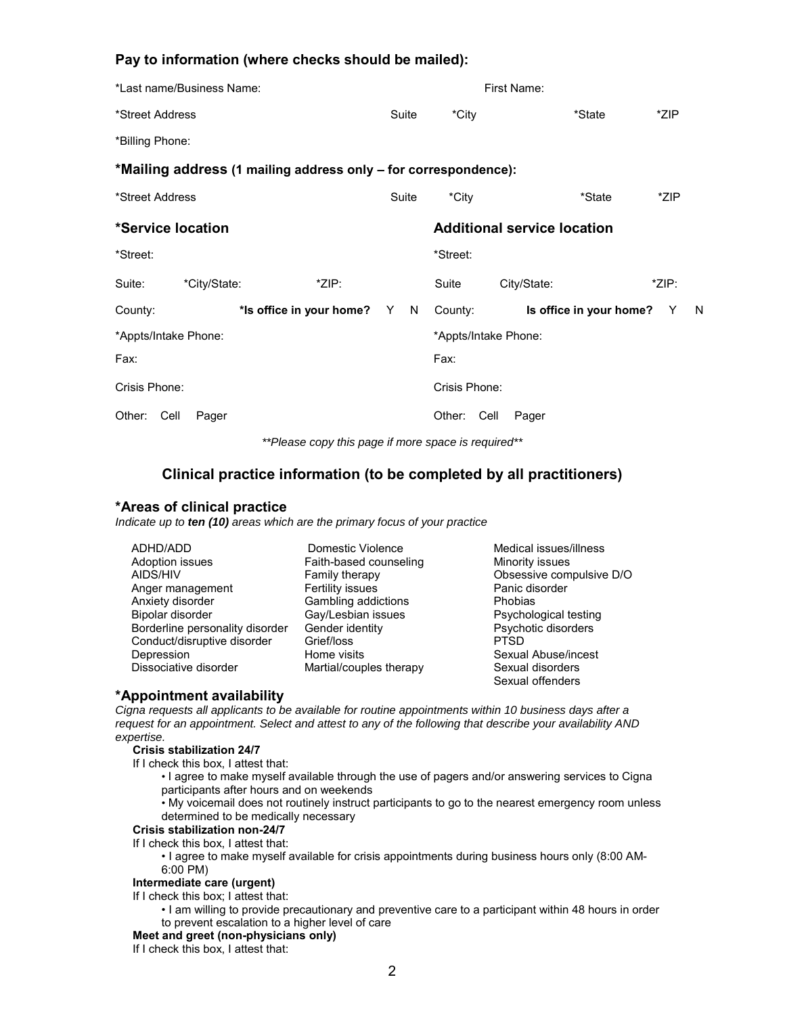# **Pay to information (where checks should be mailed):**

| *Last name/Business Name:                                       |       |                                    | First Name: |                           |       |  |
|-----------------------------------------------------------------|-------|------------------------------------|-------------|---------------------------|-------|--|
| *Street Address                                                 | Suite | *City                              |             | *State                    | *ZIP  |  |
| *Billing Phone:                                                 |       |                                    |             |                           |       |  |
| *Mailing address (1 mailing address only – for correspondence): |       |                                    |             |                           |       |  |
| *Street Address                                                 | Suite | *City                              |             | *State                    | *ZIP  |  |
| *Service location                                               |       | <b>Additional service location</b> |             |                           |       |  |
| *Street:                                                        |       | *Street:                           |             |                           |       |  |
| *City/State:<br>*ZIP:<br>Suite:                                 |       | Suite                              | City/State: |                           | *ZIP: |  |
| *Is office in your home? Y N<br>County:                         |       | County:                            |             | Is office in your home? Y | -N    |  |
| *Appts/Intake Phone:                                            |       | *Appts/Intake Phone:               |             |                           |       |  |
| Fax:                                                            |       | Fax:                               |             |                           |       |  |
| Crisis Phone:                                                   |       | Crisis Phone:                      |             |                           |       |  |
| Cell<br>Other:<br>Pager                                         |       | Other:<br>Cell                     | Pager       |                           |       |  |

*\*\*Please copy this page if more space is required\*\**

## **Clinical practice information (to be completed by all practitioners)**

## **\*Areas of clinical practice**

*Indicate up to ten (10) areas which are the primary focus of your practice*

| ADHD/ADD                        | Domestic Violence       | Medical issues/illness   |
|---------------------------------|-------------------------|--------------------------|
| Adoption issues                 | Faith-based counseling  | Minority issues          |
| AIDS/HIV                        | Family therapy          | Obsessive compulsive D/O |
| Anger management                | <b>Fertility issues</b> | Panic disorder           |
| Anxiety disorder                | Gambling addictions     | <b>Phobias</b>           |
| Bipolar disorder                | Gay/Lesbian issues      | Psychological testing    |
| Borderline personality disorder | Gender identity         | Psychotic disorders      |
| Conduct/disruptive disorder     | Grief/loss              | <b>PTSD</b>              |
| Depression                      | Home visits             | Sexual Abuse/incest      |
| Dissociative disorder           | Martial/couples therapy | Sexual disorders         |
|                                 |                         | Sexual offenders         |

## **\*Appointment availability**

*Cigna requests all applicants to be available for routine appointments within 10 business days after a request for an appointment. Select and attest to any of the following that describe your availability AND expertise.*

## **Crisis stabilization 24/7**

If I check this box, I attest that:

- I agree to make myself available through the use of pagers and/or answering services to Cigna participants after hours and on weekends
- My voicemail does not routinely instruct participants to go to the nearest emergency room unless determined to be medically necessary

## **Crisis stabilization non-24/7**

If I check this box, I attest that:

• I agree to make myself available for crisis appointments during business hours only (8:00 AM-6:00 PM)

#### **Intermediate care (urgent)**

If I check this box; I attest that:

• I am willing to provide precautionary and preventive care to a participant within 48 hours in order to prevent escalation to a higher level of care

## **Meet and greet (non-physicians only)**

If I check this box, I attest that: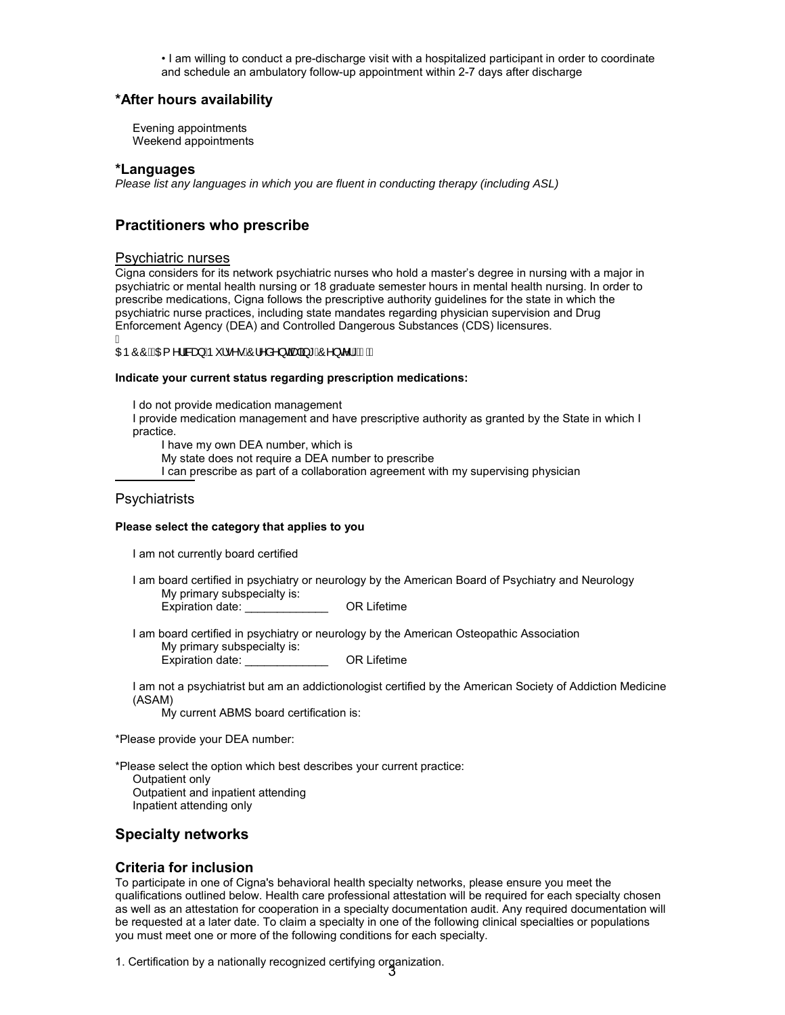• I am willing to conduct a pre-discharge visit with a hospitalized participant in order to coordinate and schedule an ambulatory follow-up appointment within 2-7 days after discharge

## **\*After hours availability**

Evening appointments Weekend appointments

## **\*Languages**

*Please list any languages in which you are fluent in conducting therapy (including ASL)*

## **Practitioners who prescribe**

## Psychiatric nurses

Cigna considers for its network psychiatric nurses who hold a master's degree in nursing with a major in psychiatric or mental health nursing or 18 graduate semester hours in mental health nursing. In order to prescribe medications, Cigna follows the prescriptive authority guidelines for the state in which the psychiatric nurse practices, including state mandates regarding physician supervision and Drug Enforcement Agency (DEA) and Controlled Dangerous Substances (CDS) licensures.

Α O ED ÔÔÁ COE ^ | 3823 ÁP " | • ^ • ÁÔ | ^ å ^ } cada \* ÁÔ ^ } c ' DÁNAÁ

#### **Indicate your current status regarding prescription medications:**

I do not provide medication management I provide medication management and have prescriptive authority as granted by the State in which I practice. I have my own DEA number, which is

My state does not require a DEA number to prescribe

I can prescribe as part of a collaboration agreement with my supervising physician

## **Psychiatrists**

#### **Please select the category that applies to you**

I am not currently board certified

I am board certified in psychiatry or neurology by the American Board of Psychiatry and Neurology My primary subspecialty is: Expiration date: \_\_\_\_\_\_\_\_\_\_\_\_\_\_\_\_\_\_\_\_\_\_ OR Lifetime

I am board certified in psychiatry or neurology by the American Osteopathic Association My primary subspecialty is: Expiration date: <br>
CR Lifetime

I am not a psychiatrist but am an addictionologist certified by the American Society of Addiction Medicine (ASAM)

My current ABMS board certification is:

\*Please provide your DEA number:

\*Please select the option which best describes your current practice: Outpatient only Outpatient and inpatient attending Inpatient attending only

## **Specialty networks**

## **Criteria for inclusion**

To participate in one of Cigna's behavioral health specialty networks, please ensure you meet the qualifications outlined below. Health care professional attestation will be required for each specialty chosen as well as an attestation for cooperation in a specialty documentation audit. Any required documentation will be requested at a later date. To claim a specialty in one of the following clinical specialties or populations you must meet one or more of the following conditions for each specialty.

3 1. Certification by a nationally recognized certifying organization.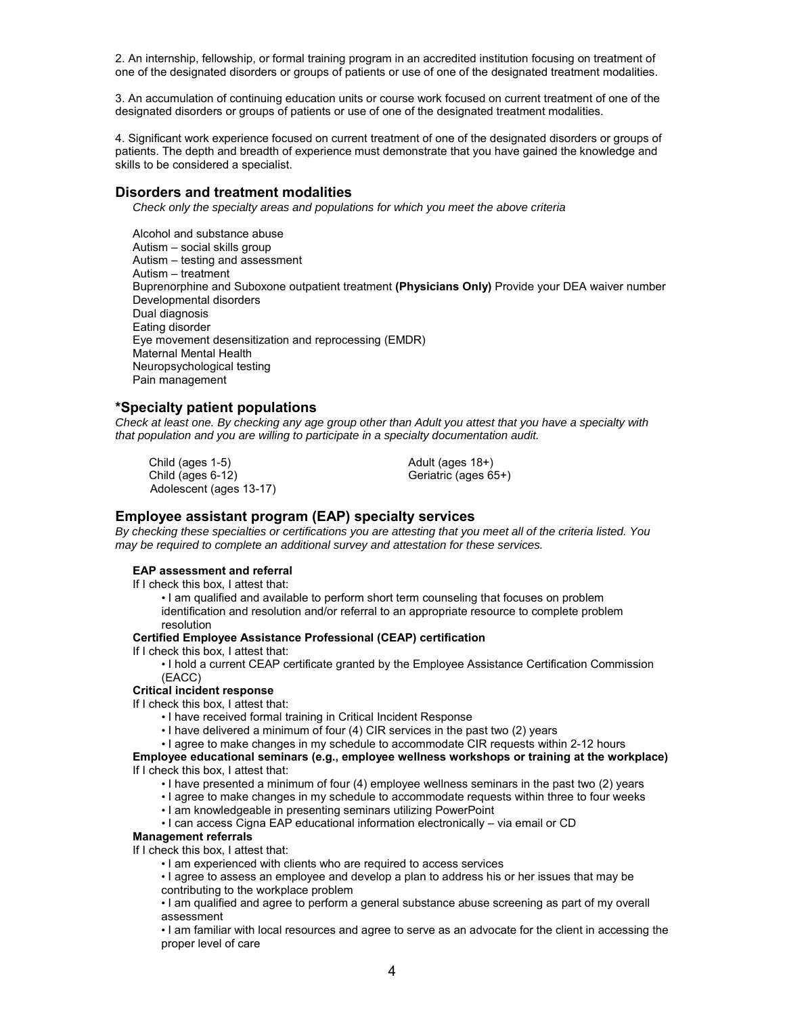2. An internship, fellowship, or formal training program in an accredited institution focusing on treatment of one of the designated disorders or groups of patients or use of one of the designated treatment modalities.

3. An accumulation of continuing education units or course work focused on current treatment of one of the designated disorders or groups of patients or use of one of the designated treatment modalities.

4. Significant work experience focused on current treatment of one of the designated disorders or groups of patients. The depth and breadth of experience must demonstrate that you have gained the knowledge and skills to be considered a specialist.

#### **Disorders and treatment modalities**

*Check only the specialty areas and populations for which you meet the above criteria*

Alcohol and substance abuse Autism – social skills group Autism – testing and assessment Autism – treatment Buprenorphine and Suboxone outpatient treatment **(Physicians Only)** Provide your DEA waiver number Developmental disorders Dual diagnosis Eating disorder Eye movement desensitization and reprocessing (EMDR) Maternal Mental Health Neuropsychological testing Pain management

## **\*Specialty patient populations**

*Check at least one. By checking any age group other than Adult you attest that you have a specialty with that population and you are willing to participate in a specialty documentation audit.* 

Child (ages 1-5) <br>Child (ages 6-12) Child (ages 6-12) Adolescent (ages 13-17)

Geriatric (ages 65+)

## **Employee assistant program (EAP) specialty services**

*By checking these specialties or certifications you are attesting that you meet all of the criteria listed. You may be required to complete an additional survey and attestation for these services.* 

### **EAP assessment and referral**

If I check this box, I attest that:

• I am qualified and available to perform short term counseling that focuses on problem identification and resolution and/or referral to an appropriate resource to complete problem resolution

#### **Certified Employee Assistance Professional (CEAP) certification**

If I check this box, I attest that:

• I hold a current CEAP certificate granted by the Employee Assistance Certification Commission (EACC)

#### **Critical incident response**

If I check this box, I attest that:

- I have received formal training in Critical Incident Response
- I have delivered a minimum of four (4) CIR services in the past two (2) years
- I agree to make changes in my schedule to accommodate CIR requests within 2-12 hours

#### **Employee educational seminars (e.g., employee wellness workshops or training at the workplace)**  If I check this box, I attest that:

- I have presented a minimum of four (4) employee wellness seminars in the past two (2) years
- I agree to make changes in my schedule to accommodate requests within three to four weeks
- I am knowledgeable in presenting seminars utilizing PowerPoint
- I can access Cigna EAP educational information electronically via email or CD

#### **Management referrals**

If I check this box, I attest that:

- I am experienced with clients who are required to access services
- I agree to assess an employee and develop a plan to address his or her issues that may be contributing to the workplace problem
- I am qualified and agree to perform a general substance abuse screening as part of my overall assessment

• I am familiar with local resources and agree to serve as an advocate for the client in accessing the proper level of care